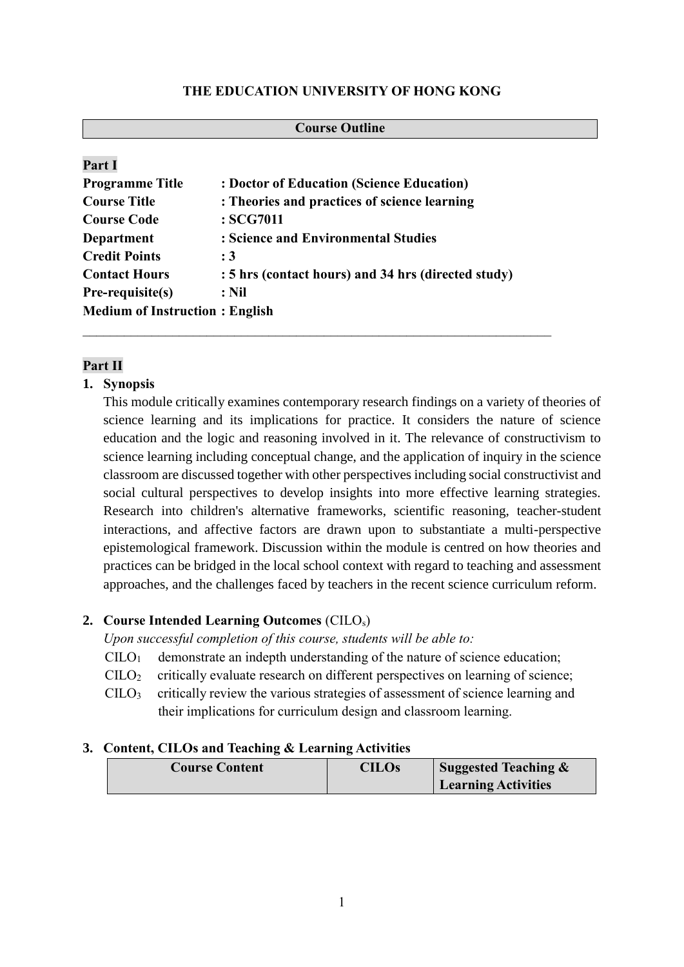#### **THE EDUCATION UNIVERSITY OF HONG KONG**

| <b>Course Outline</b>                 |                                                     |  |  |  |
|---------------------------------------|-----------------------------------------------------|--|--|--|
|                                       |                                                     |  |  |  |
| Part I                                |                                                     |  |  |  |
| <b>Programme Title</b>                | : Doctor of Education (Science Education)           |  |  |  |
| <b>Course Title</b>                   | : Theories and practices of science learning        |  |  |  |
| <b>Course Code</b>                    | : SCG7011                                           |  |  |  |
| <b>Department</b>                     | : Science and Environmental Studies                 |  |  |  |
| <b>Credit Points</b>                  | :3                                                  |  |  |  |
| <b>Contact Hours</b>                  | : 5 hrs (contact hours) and 34 hrs (directed study) |  |  |  |
| Pre-requisite(s)                      | $:$ Nil                                             |  |  |  |
| <b>Medium of Instruction: English</b> |                                                     |  |  |  |

# **Part II**

## **1. Synopsis**

This module critically examines contemporary research findings on a variety of theories of science learning and its implications for practice. It considers the nature of science education and the logic and reasoning involved in it. The relevance of constructivism to science learning including conceptual change, and the application of inquiry in the science classroom are discussed together with other perspectives including social constructivist and social cultural perspectives to develop insights into more effective learning strategies. Research into children's alternative frameworks, scientific reasoning, teacher-student interactions, and affective factors are drawn upon to substantiate a multi-perspective epistemological framework. Discussion within the module is centred on how theories and practices can be bridged in the local school context with regard to teaching and assessment approaches, and the challenges faced by teachers in the recent science curriculum reform.

## **2. Course Intended Learning Outcomes** (CILOs)

*Upon successful completion of this course, students will be able to:*

- $C I L O<sub>1</sub>$  demonstrate an indepth understanding of the nature of science education;
- $\text{CILO}_2$  critically evaluate research on different perspectives on learning of science;
- $\text{CILO}_3$  critically review the various strategies of assessment of science learning and their implications for curriculum design and classroom learning.

## **3. Content, CILOs and Teaching & Learning Activities**

| <b>Course Content</b> | <b>CILOs</b> | Suggested Teaching &       |
|-----------------------|--------------|----------------------------|
|                       |              | <b>Learning Activities</b> |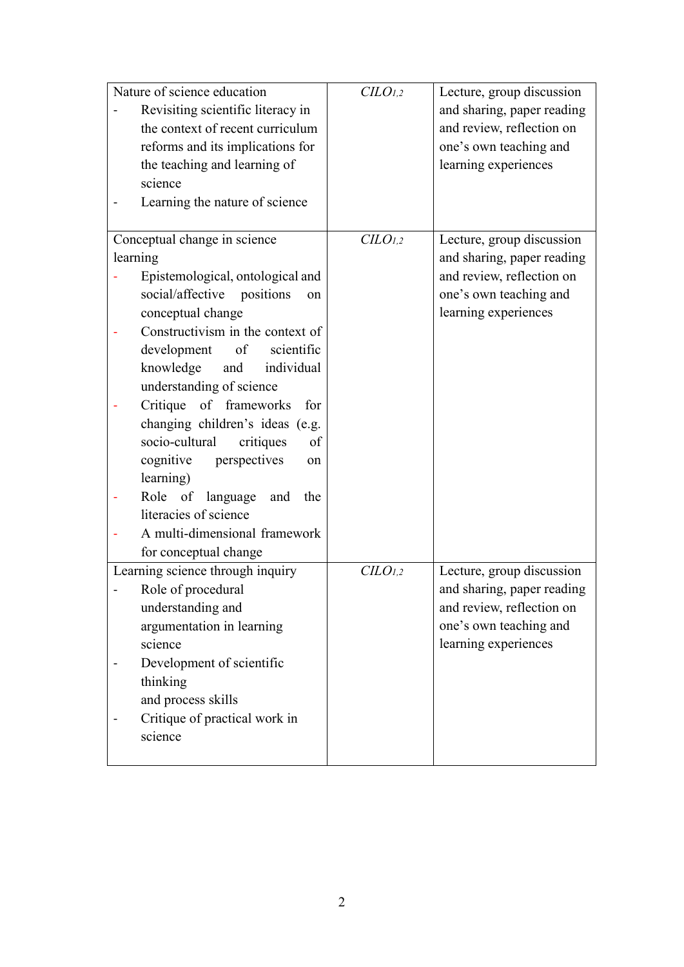| Nature of science education |                                        | CLO <sub>1,2</sub> | Lecture, group discussion  |
|-----------------------------|----------------------------------------|--------------------|----------------------------|
|                             | Revisiting scientific literacy in      |                    | and sharing, paper reading |
|                             | the context of recent curriculum       |                    | and review, reflection on  |
|                             | reforms and its implications for       |                    | one's own teaching and     |
|                             | the teaching and learning of           |                    | learning experiences       |
|                             | science                                |                    |                            |
|                             | Learning the nature of science         |                    |                            |
|                             |                                        |                    |                            |
|                             | Conceptual change in science           | CLO <sub>1,2</sub> | Lecture, group discussion  |
|                             | learning                               |                    | and sharing, paper reading |
|                             | Epistemological, ontological and       |                    | and review, reflection on  |
|                             | social/affective positions<br>on       |                    | one's own teaching and     |
|                             | conceptual change                      |                    | learning experiences       |
|                             | Constructivism in the context of       |                    |                            |
|                             | development<br>scientific<br>$\circ$ f |                    |                            |
|                             | knowledge<br>individual<br>and         |                    |                            |
|                             | understanding of science               |                    |                            |
|                             | Critique of frameworks<br>for          |                    |                            |
|                             | changing children's ideas (e.g.        |                    |                            |
|                             | socio-cultural<br>critiques<br>of      |                    |                            |
|                             | cognitive<br>perspectives<br>on        |                    |                            |
|                             | learning)                              |                    |                            |
|                             | Role of<br>language<br>and<br>the      |                    |                            |
|                             | literacies of science                  |                    |                            |
|                             | A multi-dimensional framework          |                    |                            |
|                             | for conceptual change                  |                    |                            |
|                             | Learning science through inquiry       | CLO <sub>1,2</sub> | Lecture, group discussion  |
|                             | Role of procedural                     |                    | and sharing, paper reading |
|                             | understanding and                      |                    | and review, reflection on  |
|                             | argumentation in learning              |                    | one's own teaching and     |
|                             | science                                |                    | learning experiences       |
|                             |                                        |                    |                            |
|                             | Development of scientific              |                    |                            |
|                             | thinking                               |                    |                            |
|                             | and process skills                     |                    |                            |
|                             | Critique of practical work in          |                    |                            |
|                             | science                                |                    |                            |
|                             |                                        |                    |                            |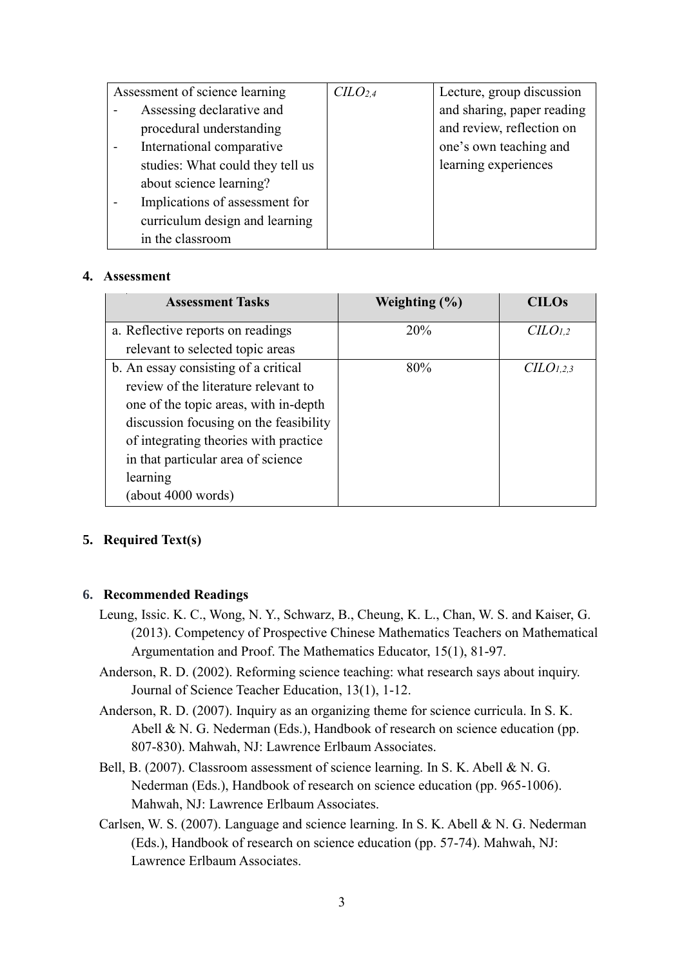| Assessment of science learning   | C <sub>L</sub> O <sub>2.4</sub> | Lecture, group discussion  |
|----------------------------------|---------------------------------|----------------------------|
| Assessing declarative and        |                                 | and sharing, paper reading |
| procedural understanding         |                                 | and review, reflection on  |
| International comparative        |                                 | one's own teaching and     |
| studies: What could they tell us |                                 | learning experiences       |
| about science learning?          |                                 |                            |
| Implications of assessment for   |                                 |                            |
| curriculum design and learning   |                                 |                            |
| in the classroom                 |                                 |                            |

#### **4. Assessment**

| <b>Assessment Tasks</b>                | Weighting $(\% )$ | <b>CILOs</b>         |
|----------------------------------------|-------------------|----------------------|
| a. Reflective reports on readings      | 20%               | C <sub>LO1,2</sub>   |
| relevant to selected topic areas       |                   |                      |
| b. An essay consisting of a critical   | 80%               | C <sub>LO1,2,3</sub> |
| review of the literature relevant to   |                   |                      |
| one of the topic areas, with in-depth  |                   |                      |
| discussion focusing on the feasibility |                   |                      |
| of integrating theories with practice  |                   |                      |
| in that particular area of science     |                   |                      |
| learning                               |                   |                      |
| (about 4000 words)                     |                   |                      |

## **5. Required Text(s)**

#### **6. Recommended Readings**

- Leung, Issic. K. C., Wong, N. Y., Schwarz, B., Cheung, K. L., Chan, W. S. and Kaiser, G. (2013). Competency of Prospective Chinese Mathematics Teachers on Mathematical Argumentation and Proof. The Mathematics Educator, 15(1), 81-97.
- Anderson, R. D. (2002). Reforming science teaching: what research says about inquiry. Journal of Science Teacher Education, 13(1), 1-12.
- Anderson, R. D. (2007). Inquiry as an organizing theme for science curricula. In S. K. Abell & N. G. Nederman (Eds.), Handbook of research on science education (pp. 807-830). Mahwah, NJ: Lawrence Erlbaum Associates.
- Bell, B. (2007). Classroom assessment of science learning. In S. K. Abell & N. G. Nederman (Eds.), Handbook of research on science education (pp. 965-1006). Mahwah, NJ: Lawrence Erlbaum Associates.
- Carlsen, W. S. (2007). Language and science learning. In S. K. Abell & N. G. Nederman (Eds.), Handbook of research on science education (pp. 57-74). Mahwah, NJ: Lawrence Erlbaum Associates.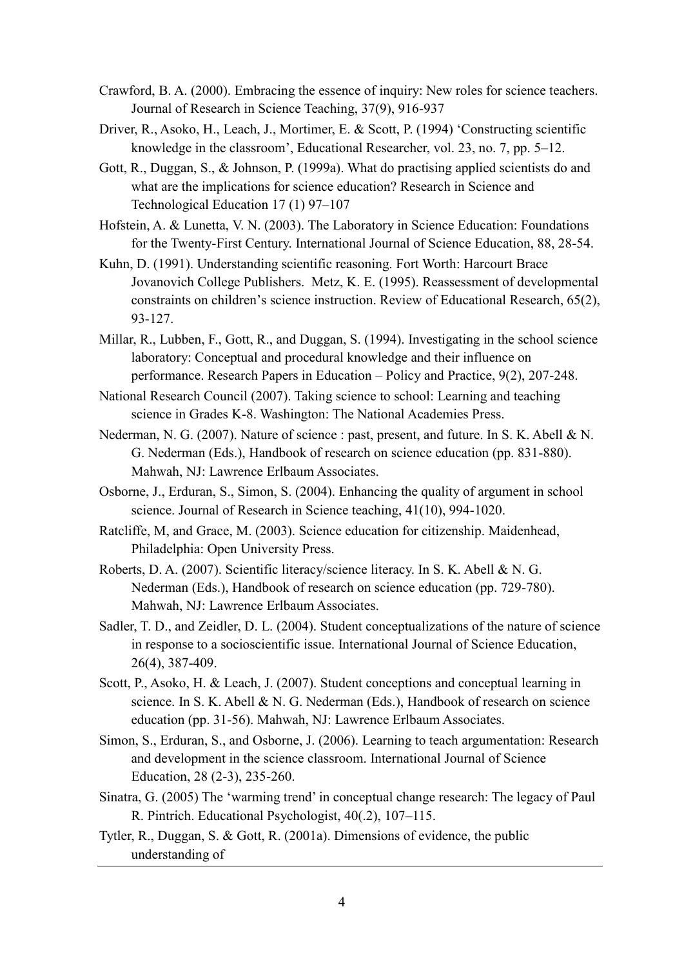- Crawford, B. A. (2000). Embracing the essence of inquiry: New roles for science teachers. Journal of Research in Science Teaching, 37(9), 916-937
- Driver, R., Asoko, H., Leach, J., Mortimer, E. & Scott, P. (1994) 'Constructing scientific knowledge in the classroom', Educational Researcher, vol. 23, no. 7, pp. 5–12.
- Gott, R., Duggan, S., & Johnson, P. (1999a). What do practising applied scientists do and what are the implications for science education? Research in Science and Technological Education 17 (1) 97–107
- Hofstein, A. & Lunetta, V. N. (2003). The Laboratory in Science Education: Foundations for the Twenty-First Century. International Journal of Science Education, 88, 28-54.
- Kuhn, D. (1991). Understanding scientific reasoning. Fort Worth: Harcourt Brace Jovanovich College Publishers. Metz, K. E. (1995). Reassessment of developmental constraints on children's science instruction. Review of Educational Research, 65(2), 93-127.
- Millar, R., Lubben, F., Gott, R., and Duggan, S. (1994). Investigating in the school science laboratory: Conceptual and procedural knowledge and their influence on performance. Research Papers in Education – Policy and Practice, 9(2), 207-248.
- National Research Council (2007). Taking science to school: Learning and teaching science in Grades K-8. Washington: The National Academies Press.
- Nederman, N. G. (2007). Nature of science : past, present, and future. In S. K. Abell & N. G. Nederman (Eds.), Handbook of research on science education (pp. 831-880). Mahwah, NJ: Lawrence Erlbaum Associates.
- Osborne, J., Erduran, S., Simon, S. (2004). Enhancing the quality of argument in school science. Journal of Research in Science teaching, 41(10), 994-1020.
- Ratcliffe, M, and Grace, M. (2003). Science education for citizenship. Maidenhead, Philadelphia: Open University Press.
- Roberts, D. A. (2007). Scientific literacy/science literacy. In S. K. Abell & N. G. Nederman (Eds.), Handbook of research on science education (pp. 729-780). Mahwah, NJ: Lawrence Erlbaum Associates.
- Sadler, T. D., and Zeidler, D. L. (2004). Student conceptualizations of the nature of science in response to a socioscientific issue. International Journal of Science Education, 26(4), 387-409.
- Scott, P., Asoko, H. & Leach, J. (2007). Student conceptions and conceptual learning in science. In S. K. Abell & N. G. Nederman (Eds.), Handbook of research on science education (pp. 31-56). Mahwah, NJ: Lawrence Erlbaum Associates.
- Simon, S., Erduran, S., and Osborne, J. (2006). Learning to teach argumentation: Research and development in the science classroom. International Journal of Science Education, 28 (2-3), 235-260.
- Sinatra, G. (2005) The 'warming trend' in conceptual change research: The legacy of Paul R. Pintrich. Educational Psychologist, 40(.2), 107–115.
- Tytler, R., Duggan, S. & Gott, R. (2001a). Dimensions of evidence, the public understanding of